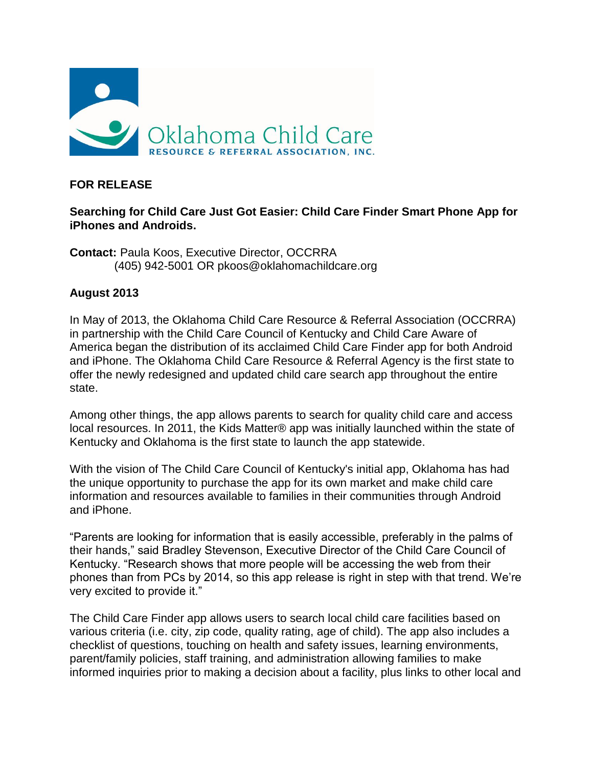

## **FOR RELEASE**

## **Searching for Child Care Just Got Easier: Child Care Finder Smart Phone App for iPhones and Androids.**

**Contact:** Paula Koos, Executive Director, OCCRRA (405) 942-5001 OR pkoos@oklahomachildcare.org

## **August 2013**

In May of 2013, the Oklahoma Child Care Resource & Referral Association (OCCRRA) in partnership with the Child Care Council of Kentucky and Child Care Aware of America began the distribution of its acclaimed Child Care Finder app for both Android and iPhone. The Oklahoma Child Care Resource & Referral Agency is the first state to offer the newly redesigned and updated child care search app throughout the entire state.

Among other things, the app allows parents to search for quality child care and access local resources. In 2011, the Kids Matter® app was initially launched within the state of Kentucky and Oklahoma is the first state to launch the app statewide.

With the vision of The Child Care Council of Kentucky's initial app, Oklahoma has had the unique opportunity to purchase the app for its own market and make child care information and resources available to families in their communities through Android and iPhone.

"Parents are looking for information that is easily accessible, preferably in the palms of their hands," said Bradley Stevenson, Executive Director of the Child Care Council of Kentucky. "Research shows that more people will be accessing the web from their phones than from PCs by 2014, so this app release is right in step with that trend. We're very excited to provide it."

The Child Care Finder app allows users to search local child care facilities based on various criteria (i.e. city, zip code, quality rating, age of child). The app also includes a checklist of questions, touching on health and safety issues, learning environments, parent/family policies, staff training, and administration allowing families to make informed inquiries prior to making a decision about a facility, plus links to other local and